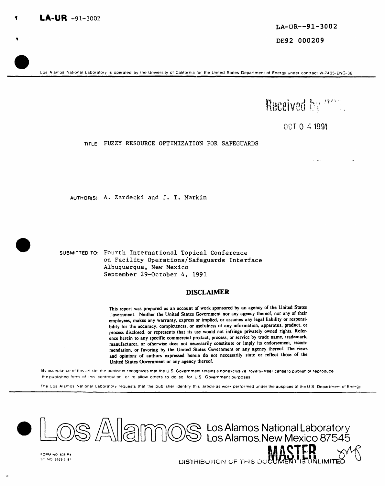Los Alamos National Laboratory is operated by the University of California for the United States Department of Energy under contract W-7405-ENG-36



0CT 0 4 1991

TITLE: FUZZY RESOURCE OPTIMIZATION FOR SAFEGUARDS

AUTHOR(S): A. Zardecki and J. T. Markin

SUBMITTED TO: Fourth International Topical Conference on Facility Operations/Safeguards Interface Albuquerque, New Mexico September 29-October 4, 1991

#### **DISCLAIMER**

This report was prepared as an account of work sponsored by an agency of the United States Covernment. Neither the United States Government nor any agency thereof, nor any of their employees, makes any warranty, express or implied, or assumes any legal liability or responsibility for the accuracy, completeness, or usefulness of any information, apparatus, product, or process disclosed, or represents that its use would not infringe privately owned rights. Reference herein to any specific commercial product, process, or service by trade name, trademark, manufacturer, or otherwise does not necessarily constitute or imply its endorsement, recommendation, or favoring by the United States Government or any agency thereof. The views and opinions of authors expressed herein do not necessarily state or reflect those of the United States Government or any agency thereof.

By acceptance of this article, the publisher recognizes that the U.S. Government retains a nonexclusive, royalty-free license to publish or reproduce the published form of this contribution, or to allow others to do so, for U.S. Government purposes

The Los Alamos National Laboratory requests that the publisher identify this article as work performed under the auspices of the U.S. Department of Energy



DISTRIBUTION OF THIS DOC

ST NO 2629.5 81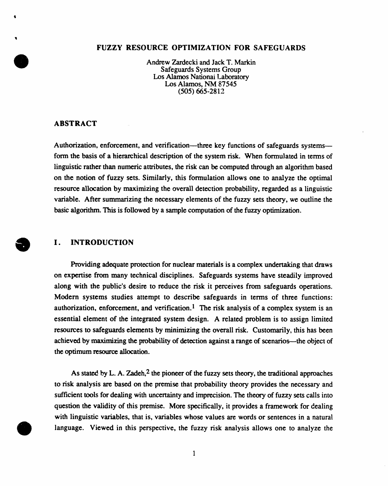# **FUZZY RESOUR**C**E OPTIMIZATION FOR SAFEGUARDS**

Andrew Zardecki and Jack T. Markin Safeguards Systems Group **Lo**s Alam**o**s Natio**n**a**l** L**a**b**or**ato**r**y **Lo**s Ala**mo**s**,** NM 87545 (505) 66**5**-2812

# **ABSTRA**C**T**

1

Authorization, enforcement, and verification—three key functions of safeguards systems form the basis of a hierarchical description of the system risk. When formulated in terms of linguistic rather than numeric attributes, the risk can be computed through an algorithm based on the notion of fuzzy sets. Similarly, this formulation allows one to analyze the optimal resource allocation by maximizing the **o**verall detection probability, regarded as a linguistic variabl**e**. **A**fter summarizing the nec**e**ssary elements of the fuzzy" sets theory, we outline the bas**ic** alg**ori**thm**.** This is f**o**ll**o**wed **by a** sampl**e com**putati**o**n **of** th**e f**uzzy **o**ptimizati**o**n.

#### I. **INTRODUCTION** O **I. INTRODUCTION**

**Providing ad**e**quate prot**ecti**on for nucle**ar m**at**eri**als is a compl**e**x und**e**rtaking that draws on** e**xp**e**rtis**e **fro**m **many technic**al di**sciplin**e**s. Saf**egu**ards systems hav**e **steadily improved along with** the **public's desir**e **to reduc**e **th**e **risk it p**e**rc**e**iv**e**s from saf**e**guards op**e**rations. Modern systems studi**e**s attempt to d**e**sc**ri**b**e **safeguards in t**e**rms of** t**hr**e**e functions**: authorization, enforcement, and verification.<sup>1</sup> The risk analysis of a complex system is an essential element of the integrated system design. A related problem is to assign limited resources to safeguards elements by minimizing the overall risk. Customarily, this has been achieved by maximizing the probability of detection against a range of scenarios—the object of the **op**ti**mum** reso**u**rce allocation.

A**s** stat**e**d by **L**. A. Zad**e**h, **2** th**e** pi**o**neer of th**e f**uz**zy** s**e**ts theory, th**e** tradi**tion**al **a**pproache**s** to risk analysis are based on the premise that prob**a**bility theory provides the necessary and sufficient tools for dealing with uncertainty and imprecision. The the**o**ry of fuzzy sets calls into ques**ti**on the validity of this premise. More specifically, it provides a framework for dealing with linguistic variables, that is, variables whose values are words or sentences in a natural language. Viewed in this perspective, the fuzzy **ri**sk analysis allows one to analyze the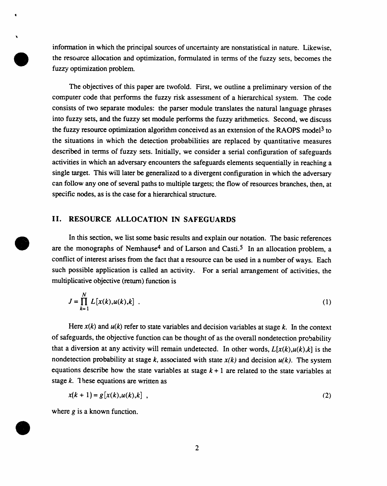informati**o**n in which the principal s**o**urces of uncertainty, are nonstatistical in nature. Likewise, the resource allocation and optimization, formulated in terms of the fuzzy sets, becomes the fuzzy optimization problem.

The objectives of this paper are twofold. First, we outline a preliminary version of the computer code that performs the fuzzy risk assessment of a hierarchical system. The code consists of two separate modules: the parser module translates the natural language phrases into fuzzy sets, and the fuzzy set module performs the fuzzy arithmeti*c*s. Second, we discuss **t**h**e** fuzzy res**o**ur*c*e **o**ptimizati**o**n alg**o**rith**m** c**o**nc**e**ived as an ex**te**nsi**o**n **o**f **t**h**e** RAOPS **m**odel **3 t**o the situations in which the detection probabilities are replaced by quantitative measures described in terms of fuzzy sets. Initially, we consider a se**ri**al con**fi**guration of safeguards activities in which an adversary encounters the safeguards elements sequentially in reaching a single target. This will later be generalized to a divergent configuration in which the adversary can follow any one of several paths to multiple targets; the flow of resources branches, then, at speci**fi**c nodes, as is the case f**o**r **a** hierarchical structure.

# **II. RESOURCE ALLOCATION IN SAFEGUARDS**

In this section, we list some b**a**sic results **a**nd explain our notation. The basic references are the monographs of Nemhause<sup>4</sup> and of Larson and Casti.<sup>5</sup> In an allocation problem, a conflict of interest arises from the fact that a resource can be used in a number of ways. Each such possible application is called an activity. For a serial arrangement of activities, the multiplicative objective (return) function is

$$
J = \prod_{k=1}^{N} L[x(k), u(k), k] .
$$
 (1)

Here *x*(*k*) and *u*(*k*) refer to state variables and decision variables at stage *k*. In the context of safeguards, the objective function can be thought of as the overall nondetection probability that a diversion at any activity will remain undetected. In other words,  $L[x(k),u(k),k]$  is the nondetection probability at stage  $k$ , associated with state  $x(k)$  and decision  $u(k)$ . The system equations describe how the state variables at stage  $k+1$  are related to the state variables at stage *k*. These equations are written as

$$
x(k + 1) = g[x(k), u(k), k],
$$
 (2)

where *g* is a known function.

 $\overline{\phantom{a}}$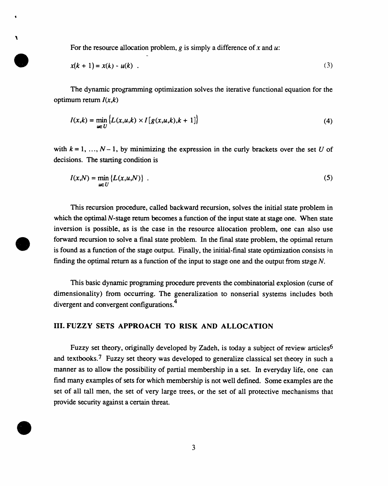For the resource allocation problem, *g* is simply a difference of *x* and *u*:

**-**

 $\mathbf{r}$ 

$$
x(k + 1) = x(k) - u(k) \tag{3}
$$

The dynamic pr**o**gramming optimization solves the iterative functional equation for the optimum return *l*(*x*,*k*)

$$
I(x,k) = \min_{u \in U} \left\{ L(x,u,k) \times I\left[ g(x,u,k), k+1 \right] \right\}
$$
 (4)

with  $k = 1, ..., N - 1$ , by minimizing the expression in the curly brackets over the set *U* of decisions. The starting condition is

$$
I(x,N) = \min_{u \in U} \{L(x,u,N)\} \tag{5}
$$

This recursion procedure, called backward recursion, solves the initial state problem in which the optimal *N*-stage return becomes a function of the input state at stage one. When state inversion is possible, as is the case in the resource allocation problem, one can also use forward recursion to solve a final state problem. In the final state problem, the optimal return is found as a function of the stage output. Finally, the initial-final state optimization consists in finding the optimal return as a function of the input to stage one and the output from stage N.

This basic dynamic programing procedure prevents the combinatorial explosion (curse of dimensionality) from occurring. The generalization to nonserial systems includes both divergent and convergent configurations.<sup>4</sup>

# **III. FUZZY** S**ETS APPROACH TO R**I**SK AND ALLO**C**A**T**ION**

Fuzzy set theory, originally developed by Zadeh, is today a subject of review articles<sup>6</sup> and textbooks.<sup>7</sup> Fuzzy set theory was developed to generalize classical set theory in such a manner as to allow the possibility of partial membership in a set. In everyday life, one can find many examples of sets for which membership is not well defined. Some examples are the set of ali tall men, the set of very large trees, or the set of ali protective mechanisms that provide security against a certain threat.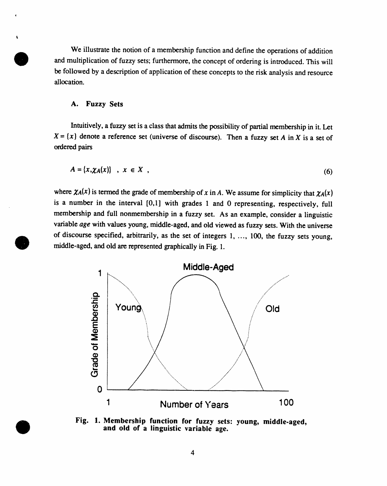We illustrate the n**o**ti**o**n of a membership functio**n** and define the **o**perations of additi**o**n and multiplication of fuzzy sets; furthermore, the concept of ordering is introduced. This will be followed by a description of application of these concepts to the risk analysis and resource allocation.

#### **A. Fuzzy Sets**

Intuitively, a fuzzy set is a class that admits the possibi**l**ity of partial membership in it. Let  $X = \{x\}$  denote a reference set (universe of discourse). Then a fuzzy set *A* in *X* is a set of ordered pairs

$$
A = \{x, \chi_A(x)\} \quad , \quad x \in X \quad , \tag{6}
$$

where  $\chi_A(x)$  is termed the grade of membership of *x* in *A*. We assume for simplicity that  $\chi_A(x)$ is a number in the interval [0,1] with grades 1 and 0 representing, respectively, full membership and full nonmembership in a fuzzy set. As an example, consider a linguistic variable *age* with values young, middle-aged, and old viewed as fuzzy sets. With the universe of discourse specified, arbitrarily, as the set of integers 1, ..., 100, the fuzzy sets young, middl**e**-aged, and **o**ld are represent**e**d graphically in Fig. 1.



**Fig. l. Membership function for fuzzy sets**: **young, middle**-**aged, and** o**ld of a linguistic variable age.**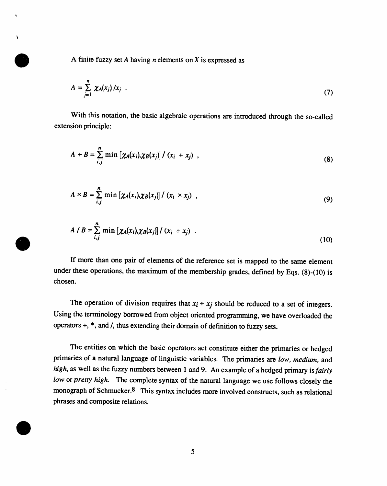A f'mite fuzzy set *A* having *n* elemen**t**s **o**n *X* is expressed as

$$
A = \sum_{j=1}^{n} \chi_A(x_j) / x_j \quad . \tag{7}
$$

With this n**o**tati**o**n, the basic **a**lgebraic **o**per**a**ti**o**ns are int**r**oduced th**r**ough the s**o**-calle**d** extension principle:

$$
A + B = \sum_{i,j}^{n} \min \left[ \chi_A(x_i), \chi_B(x_j) \right] / (x_i + x_j) , \qquad (8)
$$

$$
A \times B = \sum_{i,j}^{n} \min \left[ \chi_A(x_i), \chi_B(x_j) \right] / (x_i \times x_j) , \qquad (9)
$$

$$
A / B = \sum_{i,j}^{n} \min [\chi_A(x_i), \chi_B(x_j)] / (x_i + x_j) \quad .
$$
 (10)

If more than one p**a**ir of elements of the reference set is m**a**pped to the same element under these operations, the maximum of the membership grades, defined by Eqs. (8)-(10) is chosen.

The operation of division requires that  $x_i + x_j$  should be reduced to a set of integers. Using the terminology borrowed from object oriented programming, we have overloaded the operators +, \*, and*/*, thus extending their domain of definition to fuzzy sets.

The entities o**n** which the basic operators act constitute either the primaries or hedged primaries of a natural language of linguistic variables. The primaries are *low, medium,* and *high,* as well as the fuzzy numbers between 1 and 9. An example of a hedged primary is*fairly low* or *pretty high*. The complete syntax of the natural language we use follows closely the monograph of Schmucker.8 This syntax includes more involved constructs, such as relational phrases and composite relations.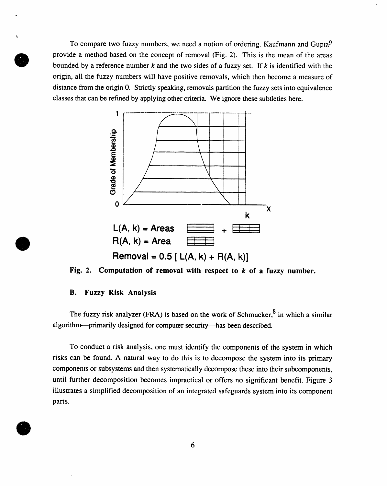To c**o**mpare two fuzzy numbers, we need a notion **o**f **o**r**d**ering. Kaufmann an**d** Gupta 9 provide a method based on the concept of removal (Fig. 2). This is the mean of the areas bounded by a reference number *k* and the two sides of a fuzzy set. If *k* is identified with the origin, all the fuzzy numbers will have positive removals, which then become a measure of distance from the origin 0. Strictly speaking, removals partition the fuzzy sets into equivalence classes that can be refined by applying other criteria. We ignore these subtleties here.



**Fig. 2. Computation of removal with respect to** *k* **of a fuzz**y **number.**

### **B. Fuzzy Risk Analysis**

k

The fuzzy risk analyzer (FRA) is based on the work of Schmucker,<sup>8</sup> in which a similar algorithm**-**-**-**primarily designed for computer security--has been described.

To conduct a risk analysis, one must identify the components of the system in which risks can be found. A natural way to do this is to decompose the system into its primary components or subsystems and then systematically decompose these into their subcomponents, until further decomposition becomes impractical or offers no significant benefit. Figure 3 illustrates a simplified decomposition of an integrated safeguards system into its component parts.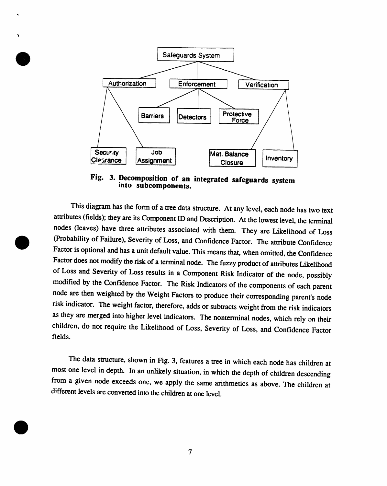

**Fig. 3. Decompositiono**f **an integrated sa**f**eguards system into subco**m**ponent**s**.**

Th**is diagram**h**as t**h**e form of a treedata structure.At any level, eac**h **node** h**as two text attributes(fields)**; **they are its Co**m**ponentID andDescription. At t**h**e lowest level, the terminal n**od**e**s **(leaves) have t**h**ree attributes associated wit**h **t**h**em. T**h**ey are Likeli**h**ood of Los**s **(Probabilityof Failure), Severity of Loss, andConfidence Factor. T**h**e at**t**ribute**C**onfidence Factoris option**al **andhas a unitdefaultv**al**ue. This** m**e**an**s t**h**at, w**h**en omitted,t**h**e Confidence Factordoes not** mod**ify th**e **riskof a termin**al**n**od**e. The fuzzy productof a**tt**ribute**s**Likeli**h**ood of Loss and Severity of** Lo**ss results in a** C**omponent Risk Indicator of the n**od**e, possi**b**ly modified** b**y the Confidence Factor. The Risk In**di**cato**r**s of t**h**e co**m**ponents of eac**h **p**ar**ent** node are then weighted by the Weight Factors to produce their corresponding parent's node **ris**k **indicator. T**h**e weig**h**t factor,t**h**erefore, addsor subtractsweig**h**t from t**h**e ri**s**k indicators as** th**ey are** m**erged into** h**ig**h**er level indicators.** Th**e nonterminaln**od**es, w**h**ic**h **rely on t**h**e**ir **c**h**ildren, do not require t**h**e Likeli**h**ood of** Loss**, Severity of Lo**ss**, and** C**onfidence Factor fields.**

**The data** s**tructure,sho**w**n in Fig. 3, f**e**atures a tree in** w**hich each n**od**e has children at most one level in depth. Inan unl**ik**ely situation,in whic**h **the dept**h **of c**h**ildren descending** from a given node exceeds one, we apply the same arithmetics as above. The children at **di**ff**erentlevel**s **areconvert**ed**into**th**e childrenat one level.**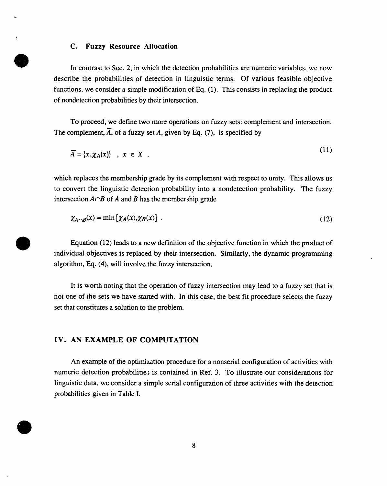#### **C. Fuzzy Resource Allocation**

 $\boldsymbol{\lambda}$ 

In c**o**ntrast t**o** Sec. 2, in which the detection pr**o**babilities are numeric **v**ariables, we now describe the probabilities of detection in linguistic terms. Of various feasible objective functions, we consider a simple modification of Eq. (1). This consists in replacing the product of nondetection probabilities by their intersection.

T**o** proceed, we **d**e**fi**ne two m**o**re **o**per**a**ti**o**ns on fuzzy set**s**: c**o**m**p**lement and intersection. The complement,  $\overline{A}$ , of a fuzzy set A, given by Eq. (7), is specified by

$$
\overline{A} = \{x, \chi_A(x)\} \quad , \quad x \in X \quad , \tag{11}
$$

which replaces the membership grade by its complement with respect to unity. This allows us to convert the linguistic detection probability into a nondetection probability. The fuzzy intersection  $A \cap B$  of  $A$  and  $B$  has the membership grade

$$
\chi_{A \cap B}(x) = \min \left[ \chi_A(x), \chi_B(x) \right] \tag{12}
$$

Equation (12) leads to a new definition of the objective function in which the product of individual objectives is replaced by their intersection. Similarly, the dynamic programming algorithm, Eq. (4), will involve the fuzzy intersection.

lt is worth noting that the operation of fuzzy intersection may lead to a fuzzy set that is not one of the sets we have started with. In this case, the best fit procedure selects the fuzzy set that constitutes a solution to the problem.

# I**V.** A**N** E**X**A**MP**L**E OF CO**M**PUTATION**

An exam**p**le of the o**p**timiz**a**tion proce**d**ure for a nonserial configuration of activities with numeric detection probabilities is contained in Ref. 3. To illustrate our considerations for linguistic data, we consider a simple serial configuration of three activities with the detection pro*b*abilities given in Table I.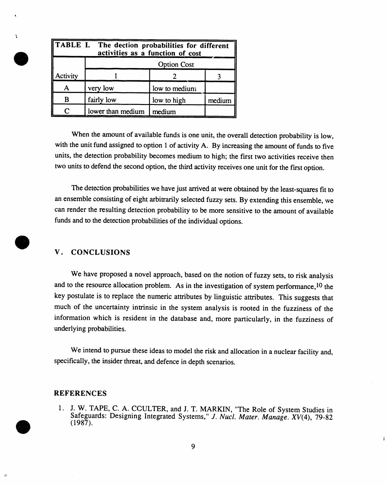| <b>TABLE I. The dection probabilities for different</b><br>activities as a function of cost |                    |               |        |
|---------------------------------------------------------------------------------------------|--------------------|---------------|--------|
|                                                                                             | <b>Option Cost</b> |               |        |
| Activity                                                                                    |                    |               |        |
|                                                                                             | very low           | low to medium |        |
| B                                                                                           | fairly low         | low to high   | medium |
|                                                                                             | lower than medium  | medium        |        |

When the amount of available funds is one unit, the overall detection probability is low, with the unit fund assigned to option 1 of activity A. By increasing the amount of funds to five units, the detection probability becomes medium to high; the first two activities receive then two units to defend the second option, the third activity receives one unit for the **fi**rst option.

The detection prob**a**bilities we have just arrived at were obtained b**y** the least-squares fit to an ensemble consisting of eight arbitra*r*ily selected fuzzy sets. By extending this ensemble, we can render the resulting detection probability to be more sensitive to the amount of available funds and to the detection probabilities of the individual options.

# **V. CONCLU**S**I**O**N**S

We have proposed a novel approach, based on the notion of fuzzy sets, to risk analysis and to the resource allocation problem. As in the inve**s**tigation of system performance, l0 the key postulate is to replace the numeric attributes by linguistic attributes. This suggests that much of the uncertainty intrinsic in the system analysis is rooted in the fuzziness of the information which is resident in the database and, more particularly, in the fuzziness of underlying probabilities.

We inte**nd** to pursue these i**d**eas to model the risk and allocation in a nuclear facility and, specifically, the insider threat, and defence in depth scenarios.

## **REFER**E**NC**E**S**

1. J.**W**. **TAP**E, **C**. **A**. **C**C**UL**T**E**R, **and J**. T. **MA**RK**IN**, "The R**ol**e **of Sys**te**m Studi**e**s in Saf**e**guards: D**e**signing In**te**gra**te**d Sys**te**ms**," *J*. *Nucl*. *Mater*. *Manage*. *XV***(4**), **79-82** (1987).

 $\tilde{\mathbf{y}}$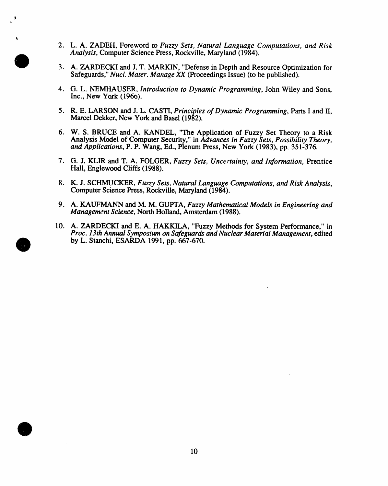2. L.A. ZADEH, Foreword to *Fuzzy Sets, Natural Language Computations, and Risk Analysis*, Computer Science Press, Rockville, Maryland (1984).

%

- 3. A. ZARDECKI and J. T. M*A*RKIN, "Defense in Depth and Resource Optimization for Safeguards," *Nucl*. *Mater*. *Manage XX* (Proceeding*s* Issue) (to be published).
- 4. G.L. NEMH*A*USER, *Introduction to Dy*na*mic Programming*, John Wiley and Sons, Inc., New York (196o).
- 5. R.E. LARSON and J. L. CASTI, *Principles of Dynamic Programming*, Parts I and II, Marcel Dekker, New York and Basel (1982).
- 6. W. S. BRUCE and A. *KA*NDEL, "The Application of Fuzzy Set Theory to a Risk Analysis Model of *C*omputer Security," in *Advances in Fuzzy Sets, Possibility Theory, and Applications*, P. P. Wang, Ed., Plenum Press, New York (1983), pp. 351-376.
- 7. G.J. KLIR and T. A. FOLGER, *Fuz*zy *Sets, Uncertain*ty*, a*nd *Information,* Prentice Hall, Englewood Cliffs (1988).
- 8. K.J. SCHMUCKER, *Fuz*zy *Sets, Natural Language Computations, and Risk A*na*lysi*s, Computer Science Press, Rockville, Maryland (1984).
- 9. A. K*A*U*F*MANN and M. M. GUPTA, *Fuz*zy *Mathe*ma*tical Models in Engineering and Management Science, North Holland, Amsterdam (1988).*
- 10. A. ZARDEC*K*I and E. A. HAKKIL*A*, "Fuzzy Methods for System Performance," in *Proc*. *13rh Annual Sy*m*posium on Safeg*ua*rds a*nd *Nuclear Material Ma*na*gement*, edited by L. Stanchi, ESARDA 1991, pp. 667-670.